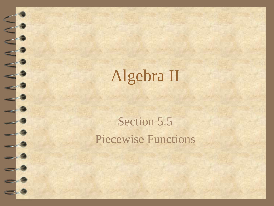## Algebra II

#### Section 5.5 Piecewise Functions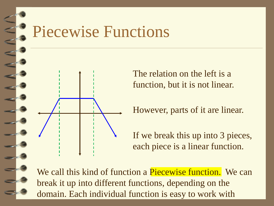## Piecewise Functions



The relation on the left is a function, but it is not linear.

However, parts of it are linear.

If we break this up into 3 pieces, each piece is a linear function.

We call this kind of function a Piecewise function. We can break it up into different functions, depending on the domain. Each individual function is easy to work with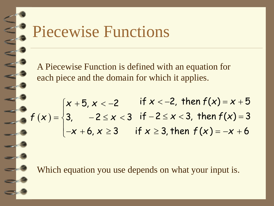## Piecewise Functions

A Piecewise Function is defined with an equation for each piece and the domain for which it applies.

$$
f(x) = \begin{cases} x + 5, x < -2 & \text{if } x < -2, \text{ then } f(x) = x + 5 \\ 3, & -2 \le x < 3 \text{ if } -2 \le x < 3, \text{ then } f(x) = 3 \\ -x + 6, x \ge 3 & \text{if } x \ge 3, \text{ then } f(x) = -x + 6 \end{cases}
$$

Which equation you use depends on what your input is.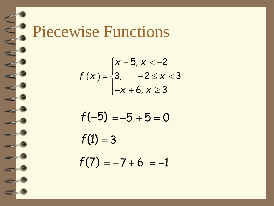

#### Piecewise Functions

$$
f(x) = \begin{cases} x + 5, x < -2 \\ 3, -2 \le x < 3 \\ -x + 6, x \ge 3 \end{cases}
$$

$$
f(-5) = -5 + 5 = 0
$$
  
f(1) = 3  
f(7) = -7 + 6 = -1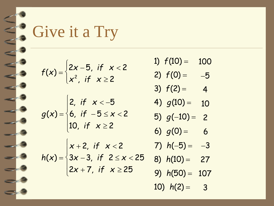

## Give it a Try

 $f(x) =$ 2*x* − 5, *if x* < 2  $x^2$ , if  $x \ge 2$  $\int$   $\tilde{c}$  $\bigcup$ 

*g*(*x*) = 6, *if* − 5 ≤ *x* < 2 2, *if x* < −5 10, if  $x \ge 2$  $\vert$  :  $\Big\}$  (  $\left| \begin{matrix} 1 \end{matrix} \right|$ 

*h*(*x*) = 3*x* − 3, *if* 2 ≤ *x* < 25 *x* + 2, *if x* < 2  $2x + 7$ , *if*  $x \ge 25$  $\left\lceil \cdot \right\rceil$  $\sqrt{\frac{1}{2}}$  $\overline{\mathbf{a}}$ 

- 1)  $f(10) = 100$
- 2)  $f(0) = -5$
- 3)  $f(2) = 4$
- $\ddot{\phantom{0}}$ 4)  $g(10) = 10$
- $\ddot{\phantom{1}}$ 5) *g*(−10) = 2

6) 
$$
g(0) = 6
$$

- $7) h(-5) = -3$
- 8) *h*(10) = 27
- 9) *h*(50) = 107
- 10)  $h(2) = 3$